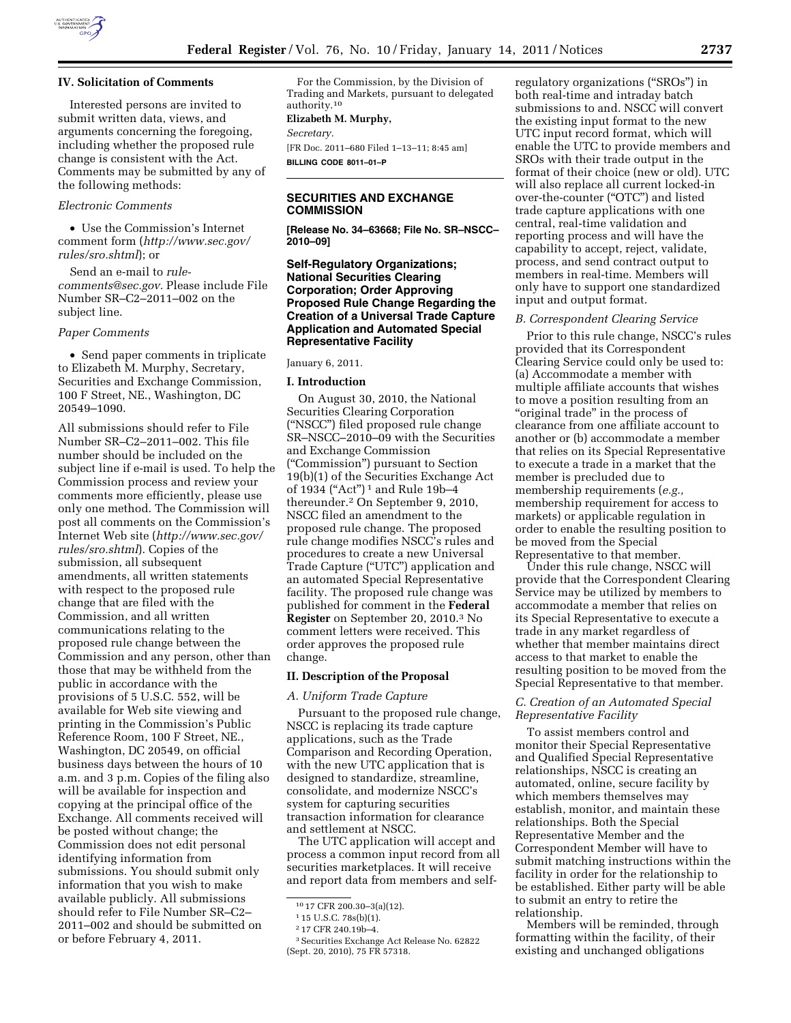

## **IV. Solicitation of Comments**

Interested persons are invited to submit written data, views, and arguments concerning the foregoing, including whether the proposed rule change is consistent with the Act. Comments may be submitted by any of the following methods:

# *Electronic Comments*

• Use the Commission's Internet comment form (*[http://www.sec.gov/](http://www.sec.gov/rules/sro.shtml)  [rules/sro.shtml](http://www.sec.gov/rules/sro.shtml)*); or

Send an e-mail to *[rule](mailto:rule-comments@sec.gov)[comments@sec.gov.](mailto:rule-comments@sec.gov)* Please include File Number SR–C2–2011–002 on the subject line.

### *Paper Comments*

• Send paper comments in triplicate to Elizabeth M. Murphy, Secretary, Securities and Exchange Commission, 100 F Street, NE., Washington, DC 20549–1090.

All submissions should refer to File Number SR–C2–2011–002. This file number should be included on the subject line if e-mail is used. To help the Commission process and review your comments more efficiently, please use only one method. The Commission will post all comments on the Commission's Internet Web site (*[http://www.sec.gov/](http://www.sec.gov/rules/sro.shtml)  [rules/sro.shtml](http://www.sec.gov/rules/sro.shtml)*). Copies of the submission, all subsequent amendments, all written statements with respect to the proposed rule change that are filed with the Commission, and all written communications relating to the proposed rule change between the Commission and any person, other than those that may be withheld from the public in accordance with the provisions of 5 U.S.C. 552, will be available for Web site viewing and printing in the Commission's Public Reference Room, 100 F Street, NE., Washington, DC 20549, on official business days between the hours of 10 a.m. and 3 p.m. Copies of the filing also will be available for inspection and copying at the principal office of the Exchange. All comments received will be posted without change; the Commission does not edit personal identifying information from submissions. You should submit only information that you wish to make available publicly. All submissions should refer to File Number SR–C2– 2011–002 and should be submitted on or before February 4, 2011.

For the Commission, by the Division of Trading and Markets, pursuant to delegated authority.10

#### **Elizabeth M. Murphy,**

*Secretary.* 

[FR Doc. 2011–680 Filed 1–13–11; 8:45 am] **BILLING CODE 8011–01–P** 

# **SECURITIES AND EXCHANGE COMMISSION**

**[Release No. 34–63668; File No. SR–NSCC– 2010–09]** 

# **Self-Regulatory Organizations; National Securities Clearing Corporation; Order Approving Proposed Rule Change Regarding the Creation of a Universal Trade Capture Application and Automated Special Representative Facility**

#### January 6, 2011.

### **I. Introduction**

On August 30, 2010, the National Securities Clearing Corporation (''NSCC'') filed proposed rule change SR–NSCC–2010–09 with the Securities and Exchange Commission (''Commission'') pursuant to Section 19(b)(1) of the Securities Exchange Act of 1934 ("Act")<sup>1</sup> and Rule 19b-4 thereunder.2 On September 9, 2010, NSCC filed an amendment to the proposed rule change. The proposed rule change modifies NSCC's rules and procedures to create a new Universal Trade Capture (''UTC'') application and an automated Special Representative facility. The proposed rule change was published for comment in the **Federal Register** on September 20, 2010.3 No comment letters were received. This order approves the proposed rule change.

#### **II. Description of the Proposal**

#### *A. Uniform Trade Capture*

Pursuant to the proposed rule change, NSCC is replacing its trade capture applications, such as the Trade Comparison and Recording Operation, with the new UTC application that is designed to standardize, streamline, consolidate, and modernize NSCC's system for capturing securities transaction information for clearance and settlement at NSCC.

The UTC application will accept and process a common input record from all securities marketplaces. It will receive and report data from members and self-

regulatory organizations (''SROs'') in both real-time and intraday batch submissions to and. NSCC will convert the existing input format to the new UTC input record format, which will enable the UTC to provide members and SROs with their trade output in the format of their choice (new or old). UTC will also replace all current locked-in over-the-counter (''OTC'') and listed trade capture applications with one central, real-time validation and reporting process and will have the capability to accept, reject, validate, process, and send contract output to members in real-time. Members will only have to support one standardized input and output format.

#### *B. Correspondent Clearing Service*

Prior to this rule change, NSCC's rules provided that its Correspondent Clearing Service could only be used to: (a) Accommodate a member with multiple affiliate accounts that wishes to move a position resulting from an "original trade" in the process of clearance from one affiliate account to another or (b) accommodate a member that relies on its Special Representative to execute a trade in a market that the member is precluded due to membership requirements (*e.g.,*  membership requirement for access to markets) or applicable regulation in order to enable the resulting position to be moved from the Special Representative to that member.

Under this rule change, NSCC will provide that the Correspondent Clearing Service may be utilized by members to accommodate a member that relies on its Special Representative to execute a trade in any market regardless of whether that member maintains direct access to that market to enable the resulting position to be moved from the Special Representative to that member.

## *C. Creation of an Automated Special Representative Facility*

To assist members control and monitor their Special Representative and Qualified Special Representative relationships, NSCC is creating an automated, online, secure facility by which members themselves may establish, monitor, and maintain these relationships. Both the Special Representative Member and the Correspondent Member will have to submit matching instructions within the facility in order for the relationship to be established. Either party will be able to submit an entry to retire the relationship.

Members will be reminded, through formatting within the facility, of their existing and unchanged obligations

<sup>10</sup> 17 CFR 200.30–3(a)(12).

<sup>1</sup> 15 U.S.C. 78s(b)(1).

<sup>2</sup> 17 CFR 240.19b–4.

<sup>3</sup>Securities Exchange Act Release No. 62822 (Sept. 20, 2010), 75 FR 57318.